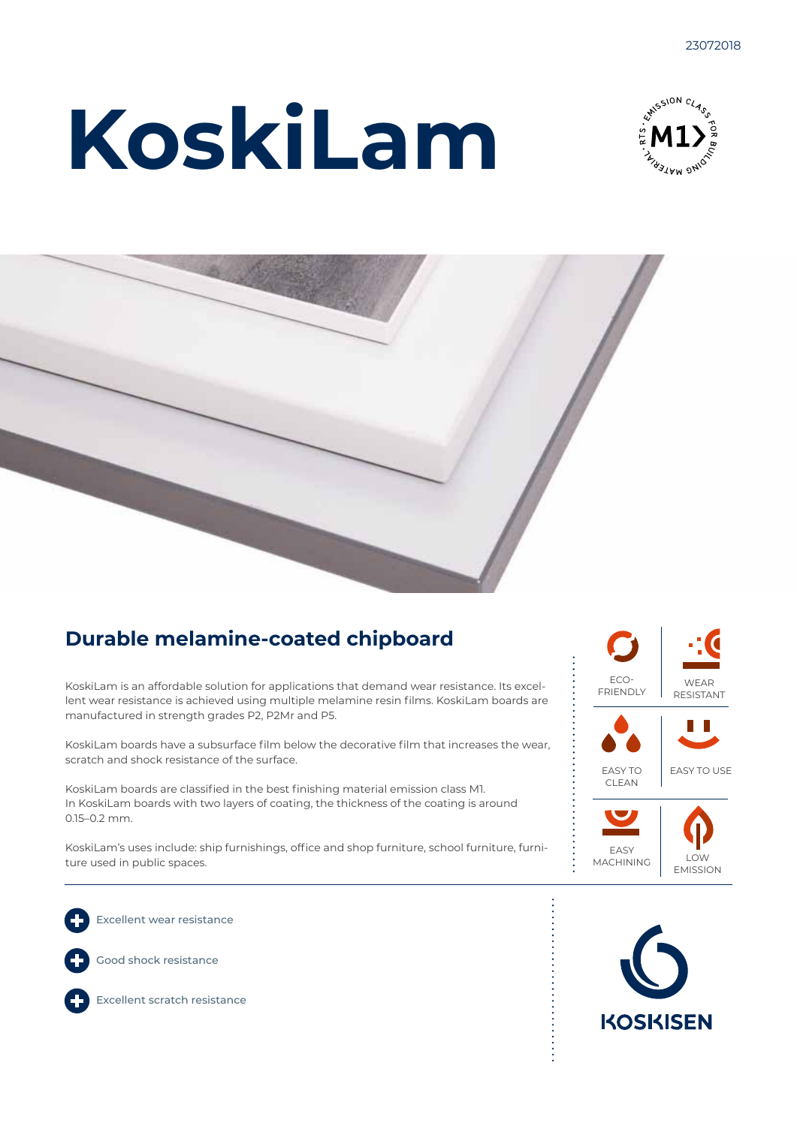# **KoskiLam**





### **Durable melamine-coated chipboard**

KoskiLam is an affordable solution for applications that demand wear resistance. Its excellent wear resistance is achieved using multiple melamine resin films. KoskiLam boards are manufactured in strength grades P2, P2Mr and P5.

KoskiLam boards have a subsurface film below the decorative film that increases the wear, scratch and shock resistance of the surface.

KoskiLam boards are classified in the best finishing material emission class M1. In KoskiLam boards with two layers of coating, the thickness of the coating is around 0.15–0.2 mm.

KoskiLam's uses include: ship furnishings, office and shop furniture, school furniture, furniture used in public spaces.





Excellent wear resistance

Good shock resistance



Excellent scratch resistance